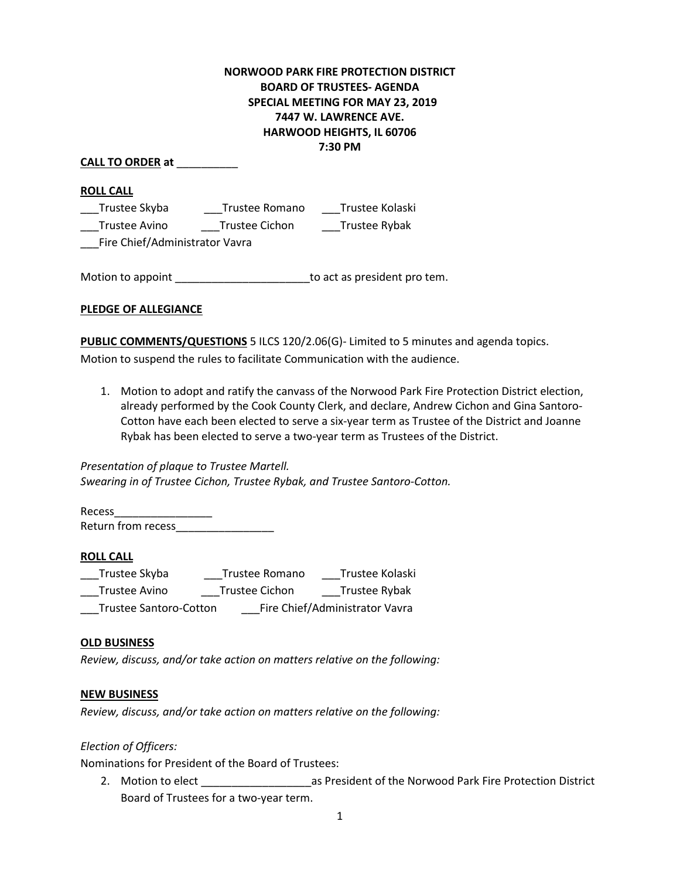## **NORWOOD PARK FIRE PROTECTION DISTRICT BOARD OF TRUSTEES- AGENDA SPECIAL MEETING FOR MAY 23, 2019 7447 W. LAWRENCE AVE. HARWOOD HEIGHTS, IL 60706 7:30 PM**

**CALL TO ORDER at** \_\_\_\_\_\_\_\_\_\_

**ROLL CALL**

\_\_\_Trustee Skyba \_\_\_Trustee Romano \_\_\_Trustee Kolaski \_\_\_Trustee Avino \_\_\_Trustee Cichon \_\_\_Trustee Rybak

\_\_\_Fire Chief/Administrator Vavra

Motion to appoint \_\_\_\_\_\_\_\_\_\_\_\_\_\_\_\_\_\_\_\_\_\_\_\_\_\_\_\_\_\_to act as president pro tem.

**PLEDGE OF ALLEGIANCE** 

**PUBLIC COMMENTS/QUESTIONS** 5 ILCS 120/2.06(G)- Limited to 5 minutes and agenda topics. Motion to suspend the rules to facilitate Communication with the audience.

1. Motion to adopt and ratify the canvass of the Norwood Park Fire Protection District election, already performed by the Cook County Clerk, and declare, Andrew Cichon and Gina Santoro-Cotton have each been elected to serve a six-year term as Trustee of the District and Joanne Rybak has been elected to serve a two-year term as Trustees of the District.

### *Presentation of plaque to Trustee Martell. Swearing in of Trustee Cichon, Trustee Rybak, and Trustee Santoro-Cotton.*

Recess\_\_\_\_\_\_\_\_\_\_\_\_\_\_\_\_ Return from recess\_\_\_\_\_\_\_\_\_\_\_\_\_\_\_\_

### **ROLL CALL**

| Trustee Skyba                 | Trustee Romano | Trustee Kolaski                |
|-------------------------------|----------------|--------------------------------|
| Trustee Avino                 | Trustee Cichon | Trustee Rybak                  |
| <b>Trustee Santoro-Cotton</b> |                | Fire Chief/Administrator Vavra |

### **OLD BUSINESS**

*Review, discuss, and/or take action on matters relative on the following:*

### **NEW BUSINESS**

*Review, discuss, and/or take action on matters relative on the following:*

*Election of Officers:*

Nominations for President of the Board of Trustees:

2. Motion to elect \_\_\_\_\_\_\_\_\_\_\_\_\_\_\_\_\_\_as President of the Norwood Park Fire Protection District Board of Trustees for a two-year term.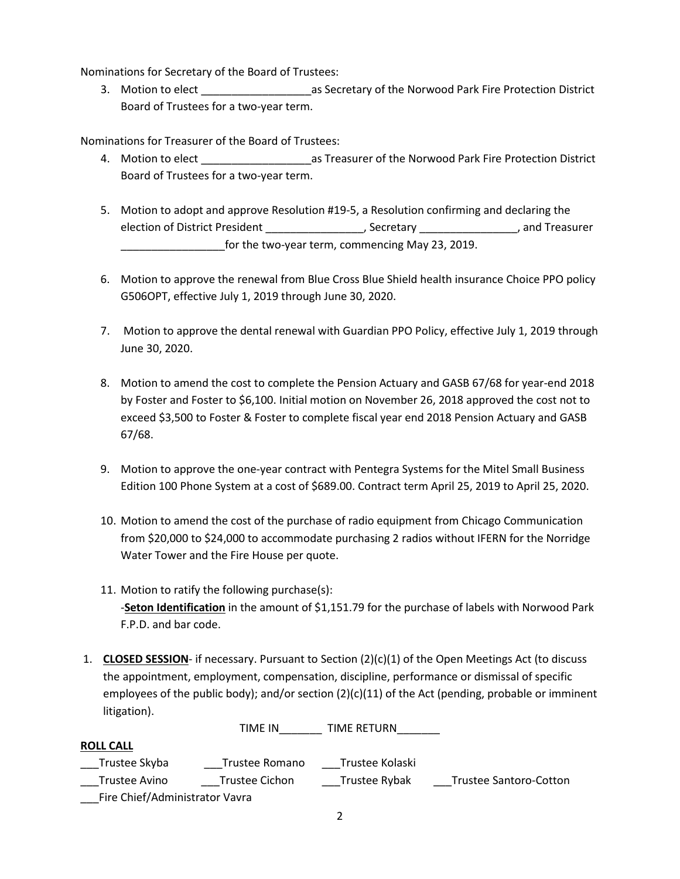Nominations for Secretary of the Board of Trustees:

3. Motion to elect **Secretary of the Norwood Park Fire Protection District** Board of Trustees for a two-year term.

Nominations for Treasurer of the Board of Trustees:

- 4. Motion to elect **All as Treasurer of the Norwood Park Fire Protection District** Board of Trustees for a two-year term.
- 5. Motion to adopt and approve Resolution #19-5, a Resolution confirming and declaring the election of District President \_\_\_\_\_\_\_\_\_\_\_\_\_\_\_\_\_, Secretary \_\_\_\_\_\_\_\_\_\_\_\_\_\_\_\_, and Treasurer for the two-year term, commencing May 23, 2019.
- 6. Motion to approve the renewal from Blue Cross Blue Shield health insurance Choice PPO policy G506OPT, effective July 1, 2019 through June 30, 2020.
- 7. Motion to approve the dental renewal with Guardian PPO Policy, effective July 1, 2019 through June 30, 2020.
- 8. Motion to amend the cost to complete the Pension Actuary and GASB 67/68 for year-end 2018 by Foster and Foster to \$6,100. Initial motion on November 26, 2018 approved the cost not to exceed \$3,500 to Foster & Foster to complete fiscal year end 2018 Pension Actuary and GASB 67/68.
- 9. Motion to approve the one-year contract with Pentegra Systems for the Mitel Small Business Edition 100 Phone System at a cost of \$689.00. Contract term April 25, 2019 to April 25, 2020.
- 10. Motion to amend the cost of the purchase of radio equipment from Chicago Communication from \$20,000 to \$24,000 to accommodate purchasing 2 radios without IFERN for the Norridge Water Tower and the Fire House per quote.
- 11. Motion to ratify the following purchase(s): -**Seton Identification** in the amount of \$1,151.79 for the purchase of labels with Norwood Park F.P.D. and bar code.
- 1. **CLOSED SESSION** if necessary. Pursuant to Section (2)(c)(1) of the Open Meetings Act (to discuss the appointment, employment, compensation, discipline, performance or dismissal of specific employees of the public body); and/or section (2)(c)(11) of the Act (pending, probable or imminent litigation).

| <b>ROLL CALL</b>               |                |                 |                               |
|--------------------------------|----------------|-----------------|-------------------------------|
| Trustee Skyba                  | Trustee Romano | Trustee Kolaski |                               |
| Trustee Avino                  | Trustee Cichon | Trustee Rybak   | <b>Trustee Santoro-Cotton</b> |
| Fire Chief/Administrator Vavra |                |                 |                               |

TIME IN TIME RETURN